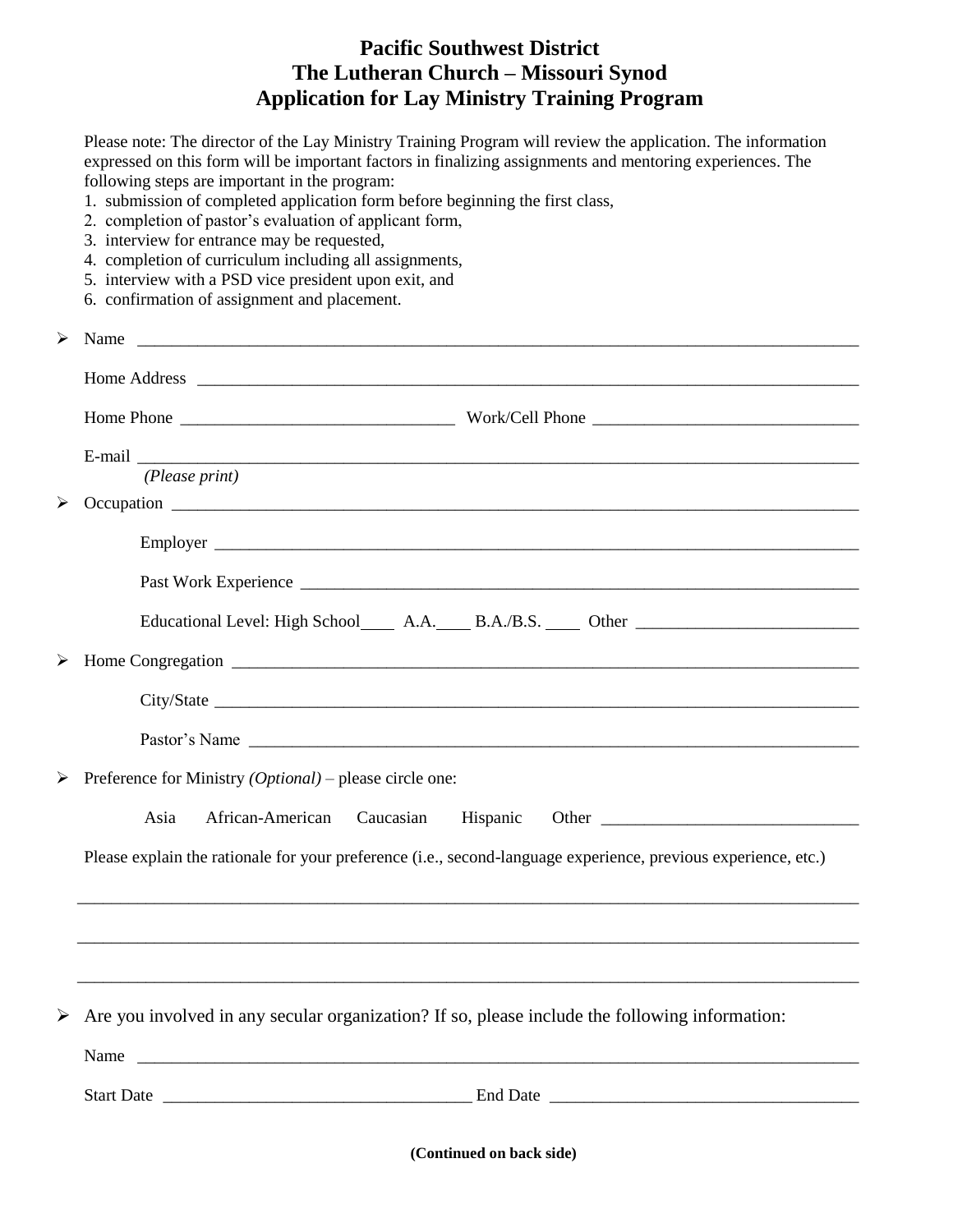## **Pacific Southwest District The Lutheran Church – Missouri Synod Application for Lay Ministry Training Program**

Please note: The director of the Lay Ministry Training Program will review the application. The information expressed on this form will be important factors in finalizing assignments and mentoring experiences. The following steps are important in the program:

- 1. submission of completed application form before beginning the first class,
- 2. completion of pastor's evaluation of applicant form,
- 3. interview for entrance may be requested,
- 4. completion of curriculum including all assignments,
- 5. interview with a PSD vice president upon exit, and
- 6. confirmation of assignment and placement.

| $\blacktriangleright$ | Name                                                                                                            |
|-----------------------|-----------------------------------------------------------------------------------------------------------------|
|                       |                                                                                                                 |
|                       |                                                                                                                 |
|                       | E-mail                                                                                                          |
|                       | (Please print)                                                                                                  |
|                       |                                                                                                                 |
|                       |                                                                                                                 |
|                       | Educational Level: High School _______ A.A. ______ B.A./B.S. ______ Other __________________________            |
|                       |                                                                                                                 |
|                       |                                                                                                                 |
|                       |                                                                                                                 |
|                       |                                                                                                                 |
|                       | Preference for Ministry $(Optional)$ – please circle one:                                                       |
|                       | African-American<br>Asia<br>Caucasian                                                                           |
|                       | Please explain the rationale for your preference (i.e., second-language experience, previous experience, etc.)  |
|                       |                                                                                                                 |
|                       |                                                                                                                 |
|                       |                                                                                                                 |
|                       | $\triangleright$ Are you involved in any secular organization? If so, please include the following information: |
|                       |                                                                                                                 |
|                       |                                                                                                                 |
|                       |                                                                                                                 |
|                       | (Continued on back side)                                                                                        |